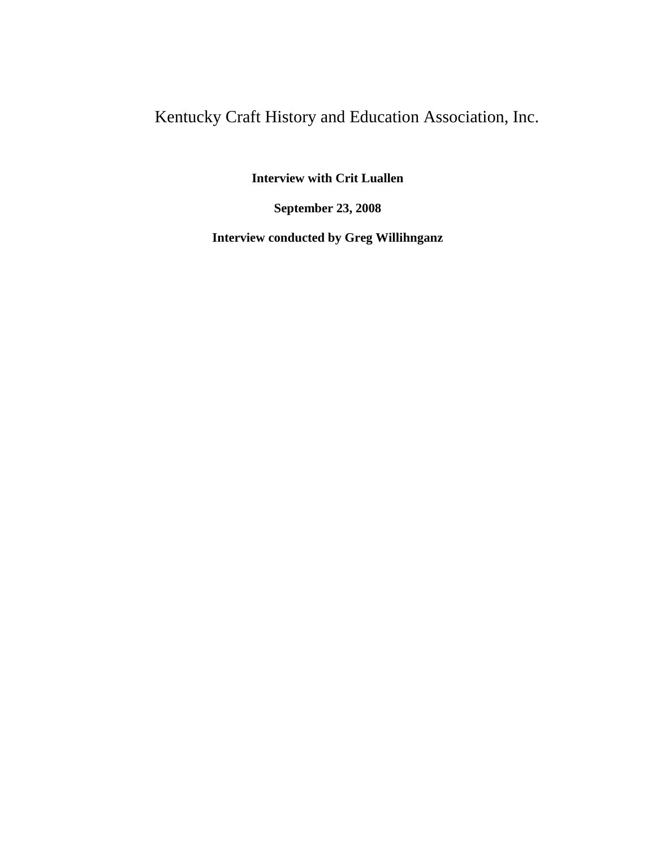## Kentucky Craft History and Education Association, Inc.

**Interview with Crit Luallen**

**September 23, 2008**

**Interview conducted by Greg Willihnganz**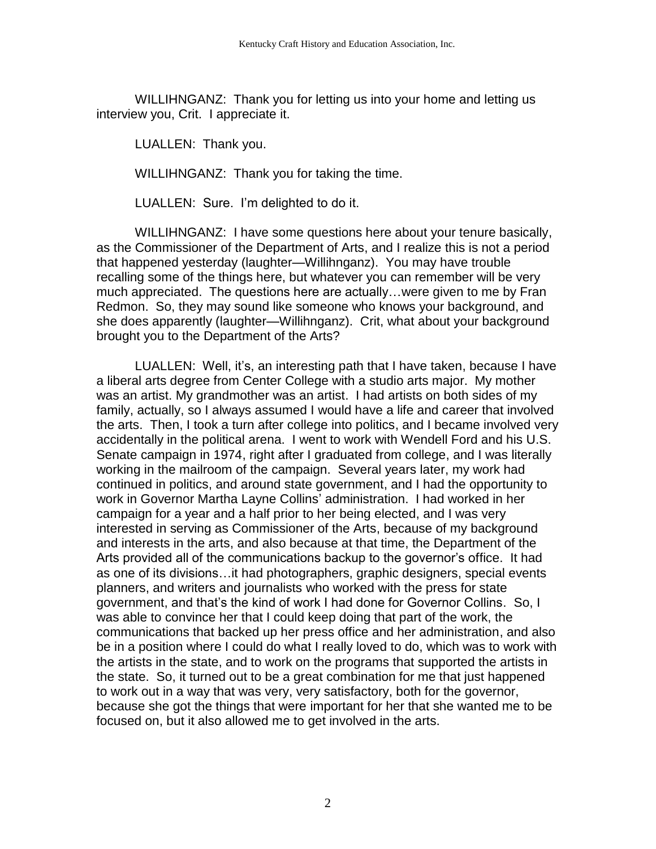WILLIHNGANZ: Thank you for letting us into your home and letting us interview you, Crit. I appreciate it.

LUALLEN: Thank you.

WILLIHNGANZ: Thank you for taking the time.

LUALLEN: Sure. I'm delighted to do it.

WILLIHNGANZ: I have some questions here about your tenure basically, as the Commissioner of the Department of Arts, and I realize this is not a period that happened yesterday (laughter—Willihnganz). You may have trouble recalling some of the things here, but whatever you can remember will be very much appreciated. The questions here are actually…were given to me by Fran Redmon. So, they may sound like someone who knows your background, and she does apparently (laughter—Willihnganz). Crit, what about your background brought you to the Department of the Arts?

LUALLEN: Well, it's, an interesting path that I have taken, because I have a liberal arts degree from Center College with a studio arts major. My mother was an artist. My grandmother was an artist. I had artists on both sides of my family, actually, so I always assumed I would have a life and career that involved the arts. Then, I took a turn after college into politics, and I became involved very accidentally in the political arena. I went to work with Wendell Ford and his U.S. Senate campaign in 1974, right after I graduated from college, and I was literally working in the mailroom of the campaign. Several years later, my work had continued in politics, and around state government, and I had the opportunity to work in Governor Martha Layne Collins' administration. I had worked in her campaign for a year and a half prior to her being elected, and I was very interested in serving as Commissioner of the Arts, because of my background and interests in the arts, and also because at that time, the Department of the Arts provided all of the communications backup to the governor's office. It had as one of its divisions…it had photographers, graphic designers, special events planners, and writers and journalists who worked with the press for state government, and that's the kind of work I had done for Governor Collins. So, I was able to convince her that I could keep doing that part of the work, the communications that backed up her press office and her administration, and also be in a position where I could do what I really loved to do, which was to work with the artists in the state, and to work on the programs that supported the artists in the state. So, it turned out to be a great combination for me that just happened to work out in a way that was very, very satisfactory, both for the governor, because she got the things that were important for her that she wanted me to be focused on, but it also allowed me to get involved in the arts.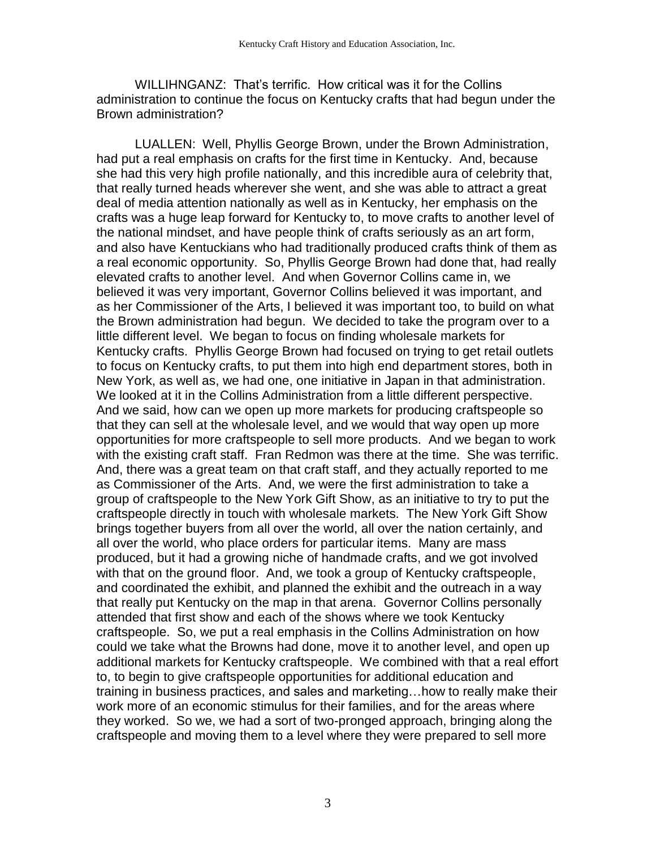WILLIHNGANZ: That's terrific. How critical was it for the Collins administration to continue the focus on Kentucky crafts that had begun under the Brown administration?

LUALLEN: Well, Phyllis George Brown, under the Brown Administration, had put a real emphasis on crafts for the first time in Kentucky. And, because she had this very high profile nationally, and this incredible aura of celebrity that, that really turned heads wherever she went, and she was able to attract a great deal of media attention nationally as well as in Kentucky, her emphasis on the crafts was a huge leap forward for Kentucky to, to move crafts to another level of the national mindset, and have people think of crafts seriously as an art form, and also have Kentuckians who had traditionally produced crafts think of them as a real economic opportunity. So, Phyllis George Brown had done that, had really elevated crafts to another level. And when Governor Collins came in, we believed it was very important, Governor Collins believed it was important, and as her Commissioner of the Arts, I believed it was important too, to build on what the Brown administration had begun. We decided to take the program over to a little different level. We began to focus on finding wholesale markets for Kentucky crafts. Phyllis George Brown had focused on trying to get retail outlets to focus on Kentucky crafts, to put them into high end department stores, both in New York, as well as, we had one, one initiative in Japan in that administration. We looked at it in the Collins Administration from a little different perspective. And we said, how can we open up more markets for producing craftspeople so that they can sell at the wholesale level, and we would that way open up more opportunities for more craftspeople to sell more products. And we began to work with the existing craft staff. Fran Redmon was there at the time. She was terrific. And, there was a great team on that craft staff, and they actually reported to me as Commissioner of the Arts. And, we were the first administration to take a group of craftspeople to the New York Gift Show, as an initiative to try to put the craftspeople directly in touch with wholesale markets. The New York Gift Show brings together buyers from all over the world, all over the nation certainly, and all over the world, who place orders for particular items. Many are mass produced, but it had a growing niche of handmade crafts, and we got involved with that on the ground floor. And, we took a group of Kentucky craftspeople, and coordinated the exhibit, and planned the exhibit and the outreach in a way that really put Kentucky on the map in that arena. Governor Collins personally attended that first show and each of the shows where we took Kentucky craftspeople. So, we put a real emphasis in the Collins Administration on how could we take what the Browns had done, move it to another level, and open up additional markets for Kentucky craftspeople. We combined with that a real effort to, to begin to give craftspeople opportunities for additional education and training in business practices, and sales and marketing…how to really make their work more of an economic stimulus for their families, and for the areas where they worked. So we, we had a sort of two-pronged approach, bringing along the craftspeople and moving them to a level where they were prepared to sell more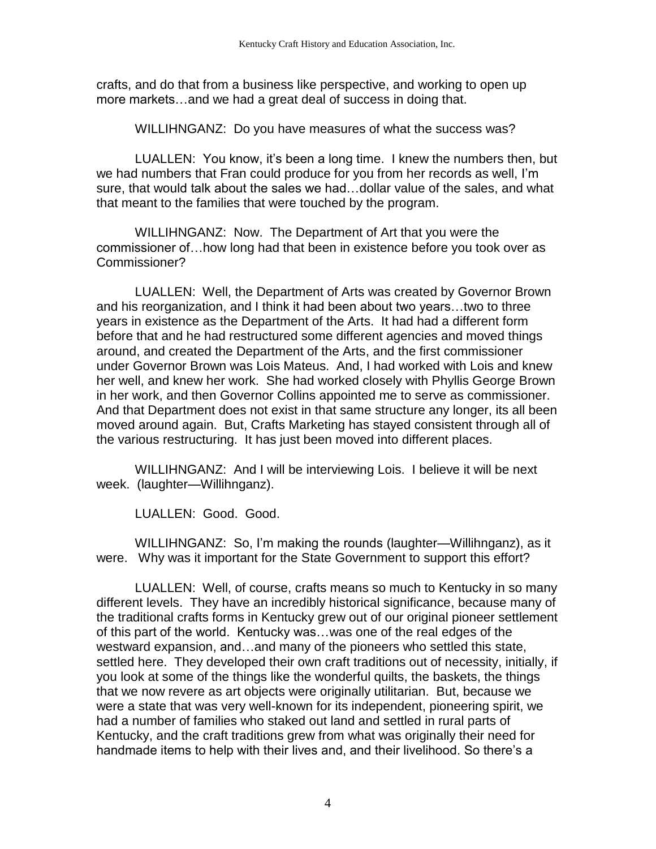crafts, and do that from a business like perspective, and working to open up more markets…and we had a great deal of success in doing that.

WILLIHNGANZ: Do you have measures of what the success was?

LUALLEN: You know, it's been a long time. I knew the numbers then, but we had numbers that Fran could produce for you from her records as well, I'm sure, that would talk about the sales we had…dollar value of the sales, and what that meant to the families that were touched by the program.

WILLIHNGANZ: Now. The Department of Art that you were the commissioner of…how long had that been in existence before you took over as Commissioner?

LUALLEN: Well, the Department of Arts was created by Governor Brown and his reorganization, and I think it had been about two years…two to three years in existence as the Department of the Arts. It had had a different form before that and he had restructured some different agencies and moved things around, and created the Department of the Arts, and the first commissioner under Governor Brown was Lois Mateus. And, I had worked with Lois and knew her well, and knew her work. She had worked closely with Phyllis George Brown in her work, and then Governor Collins appointed me to serve as commissioner. And that Department does not exist in that same structure any longer, its all been moved around again. But, Crafts Marketing has stayed consistent through all of the various restructuring. It has just been moved into different places.

WILLIHNGANZ: And I will be interviewing Lois. I believe it will be next week. (laughter—Willihnganz).

LUALLEN: Good. Good.

WILLIHNGANZ: So, I'm making the rounds (laughter—Willihnganz), as it were. Why was it important for the State Government to support this effort?

LUALLEN: Well, of course, crafts means so much to Kentucky in so many different levels. They have an incredibly historical significance, because many of the traditional crafts forms in Kentucky grew out of our original pioneer settlement of this part of the world. Kentucky was…was one of the real edges of the westward expansion, and…and many of the pioneers who settled this state, settled here. They developed their own craft traditions out of necessity, initially, if you look at some of the things like the wonderful quilts, the baskets, the things that we now revere as art objects were originally utilitarian. But, because we were a state that was very well-known for its independent, pioneering spirit, we had a number of families who staked out land and settled in rural parts of Kentucky, and the craft traditions grew from what was originally their need for handmade items to help with their lives and, and their livelihood. So there's a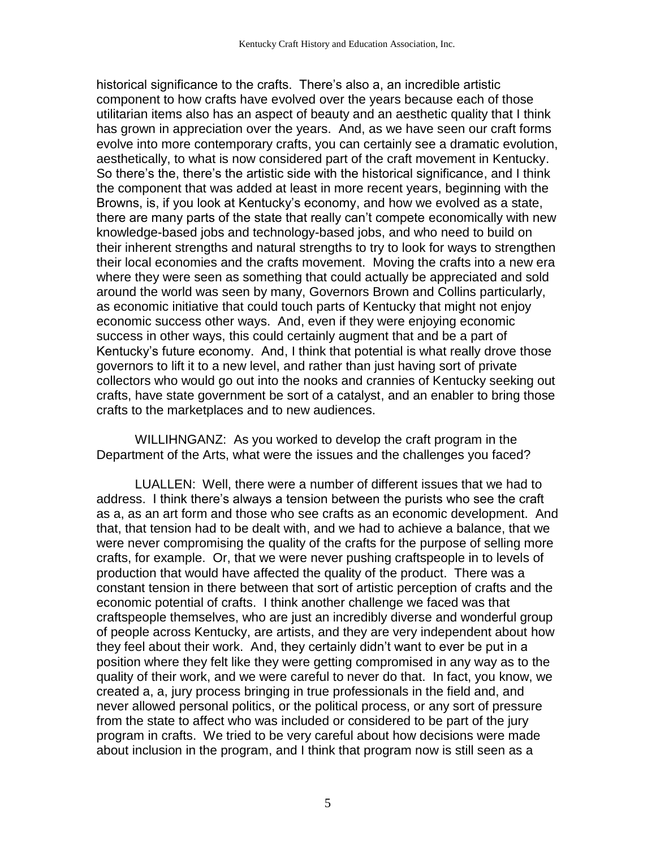historical significance to the crafts. There's also a, an incredible artistic component to how crafts have evolved over the years because each of those utilitarian items also has an aspect of beauty and an aesthetic quality that I think has grown in appreciation over the years. And, as we have seen our craft forms evolve into more contemporary crafts, you can certainly see a dramatic evolution, aesthetically, to what is now considered part of the craft movement in Kentucky. So there's the, there's the artistic side with the historical significance, and I think the component that was added at least in more recent years, beginning with the Browns, is, if you look at Kentucky's economy, and how we evolved as a state, there are many parts of the state that really can't compete economically with new knowledge-based jobs and technology-based jobs, and who need to build on their inherent strengths and natural strengths to try to look for ways to strengthen their local economies and the crafts movement. Moving the crafts into a new era where they were seen as something that could actually be appreciated and sold around the world was seen by many, Governors Brown and Collins particularly, as economic initiative that could touch parts of Kentucky that might not enjoy economic success other ways. And, even if they were enjoying economic success in other ways, this could certainly augment that and be a part of Kentucky's future economy. And, I think that potential is what really drove those governors to lift it to a new level, and rather than just having sort of private collectors who would go out into the nooks and crannies of Kentucky seeking out crafts, have state government be sort of a catalyst, and an enabler to bring those crafts to the marketplaces and to new audiences.

WILLIHNGANZ: As you worked to develop the craft program in the Department of the Arts, what were the issues and the challenges you faced?

LUALLEN: Well, there were a number of different issues that we had to address. I think there's always a tension between the purists who see the craft as a, as an art form and those who see crafts as an economic development. And that, that tension had to be dealt with, and we had to achieve a balance, that we were never compromising the quality of the crafts for the purpose of selling more crafts, for example. Or, that we were never pushing craftspeople in to levels of production that would have affected the quality of the product. There was a constant tension in there between that sort of artistic perception of crafts and the economic potential of crafts. I think another challenge we faced was that craftspeople themselves, who are just an incredibly diverse and wonderful group of people across Kentucky, are artists, and they are very independent about how they feel about their work. And, they certainly didn't want to ever be put in a position where they felt like they were getting compromised in any way as to the quality of their work, and we were careful to never do that. In fact, you know, we created a, a, jury process bringing in true professionals in the field and, and never allowed personal politics, or the political process, or any sort of pressure from the state to affect who was included or considered to be part of the jury program in crafts. We tried to be very careful about how decisions were made about inclusion in the program, and I think that program now is still seen as a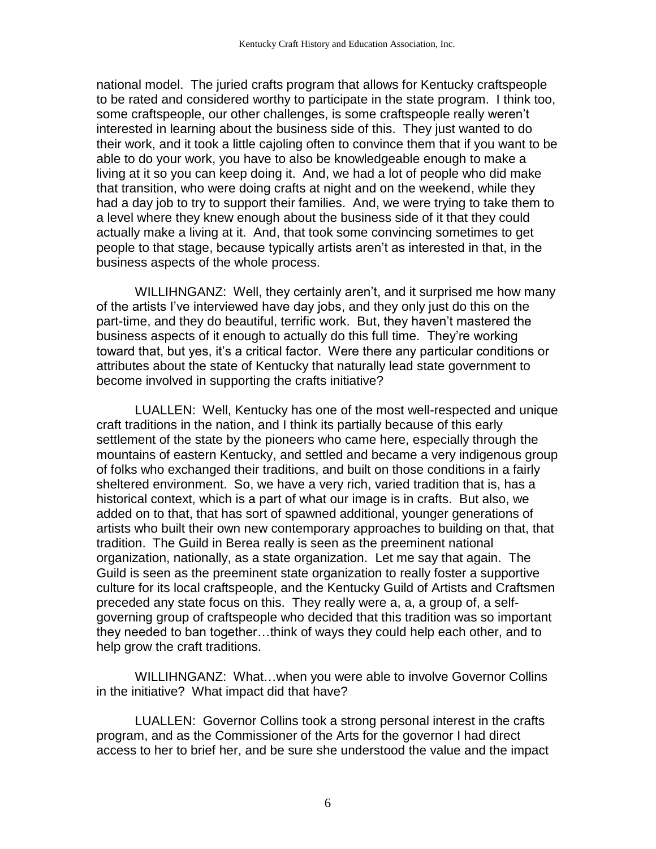national model. The juried crafts program that allows for Kentucky craftspeople to be rated and considered worthy to participate in the state program. I think too, some craftspeople, our other challenges, is some craftspeople really weren't interested in learning about the business side of this. They just wanted to do their work, and it took a little cajoling often to convince them that if you want to be able to do your work, you have to also be knowledgeable enough to make a living at it so you can keep doing it. And, we had a lot of people who did make that transition, who were doing crafts at night and on the weekend, while they had a day job to try to support their families. And, we were trying to take them to a level where they knew enough about the business side of it that they could actually make a living at it. And, that took some convincing sometimes to get people to that stage, because typically artists aren't as interested in that, in the business aspects of the whole process.

WILLIHNGANZ: Well, they certainly aren't, and it surprised me how many of the artists I've interviewed have day jobs, and they only just do this on the part-time, and they do beautiful, terrific work. But, they haven't mastered the business aspects of it enough to actually do this full time. They're working toward that, but yes, it's a critical factor. Were there any particular conditions or attributes about the state of Kentucky that naturally lead state government to become involved in supporting the crafts initiative?

LUALLEN: Well, Kentucky has one of the most well-respected and unique craft traditions in the nation, and I think its partially because of this early settlement of the state by the pioneers who came here, especially through the mountains of eastern Kentucky, and settled and became a very indigenous group of folks who exchanged their traditions, and built on those conditions in a fairly sheltered environment. So, we have a very rich, varied tradition that is, has a historical context, which is a part of what our image is in crafts. But also, we added on to that, that has sort of spawned additional, younger generations of artists who built their own new contemporary approaches to building on that, that tradition. The Guild in Berea really is seen as the preeminent national organization, nationally, as a state organization. Let me say that again. The Guild is seen as the preeminent state organization to really foster a supportive culture for its local craftspeople, and the Kentucky Guild of Artists and Craftsmen preceded any state focus on this. They really were a, a, a group of, a selfgoverning group of craftspeople who decided that this tradition was so important they needed to ban together…think of ways they could help each other, and to help grow the craft traditions.

WILLIHNGANZ: What…when you were able to involve Governor Collins in the initiative? What impact did that have?

LUALLEN: Governor Collins took a strong personal interest in the crafts program, and as the Commissioner of the Arts for the governor I had direct access to her to brief her, and be sure she understood the value and the impact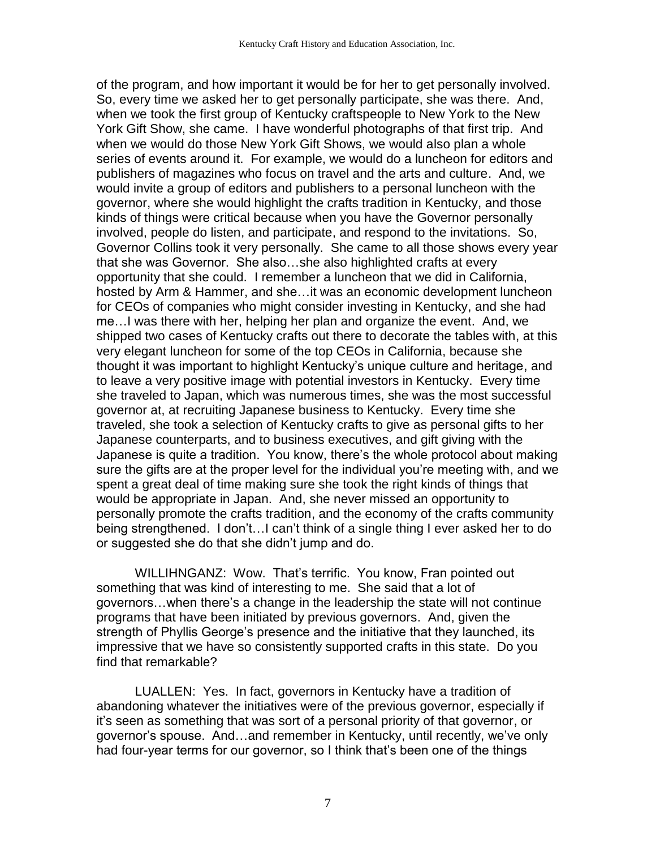of the program, and how important it would be for her to get personally involved. So, every time we asked her to get personally participate, she was there. And, when we took the first group of Kentucky craftspeople to New York to the New York Gift Show, she came. I have wonderful photographs of that first trip. And when we would do those New York Gift Shows, we would also plan a whole series of events around it. For example, we would do a luncheon for editors and publishers of magazines who focus on travel and the arts and culture. And, we would invite a group of editors and publishers to a personal luncheon with the governor, where she would highlight the crafts tradition in Kentucky, and those kinds of things were critical because when you have the Governor personally involved, people do listen, and participate, and respond to the invitations. So, Governor Collins took it very personally. She came to all those shows every year that she was Governor. She also…she also highlighted crafts at every opportunity that she could. I remember a luncheon that we did in California, hosted by Arm & Hammer, and she…it was an economic development luncheon for CEOs of companies who might consider investing in Kentucky, and she had me…I was there with her, helping her plan and organize the event. And, we shipped two cases of Kentucky crafts out there to decorate the tables with, at this very elegant luncheon for some of the top CEOs in California, because she thought it was important to highlight Kentucky's unique culture and heritage, and to leave a very positive image with potential investors in Kentucky. Every time she traveled to Japan, which was numerous times, she was the most successful governor at, at recruiting Japanese business to Kentucky. Every time she traveled, she took a selection of Kentucky crafts to give as personal gifts to her Japanese counterparts, and to business executives, and gift giving with the Japanese is quite a tradition. You know, there's the whole protocol about making sure the gifts are at the proper level for the individual you're meeting with, and we spent a great deal of time making sure she took the right kinds of things that would be appropriate in Japan. And, she never missed an opportunity to personally promote the crafts tradition, and the economy of the crafts community being strengthened. I don't…I can't think of a single thing I ever asked her to do or suggested she do that she didn't jump and do.

WILLIHNGANZ: Wow. That's terrific. You know, Fran pointed out something that was kind of interesting to me. She said that a lot of governors…when there's a change in the leadership the state will not continue programs that have been initiated by previous governors. And, given the strength of Phyllis George's presence and the initiative that they launched, its impressive that we have so consistently supported crafts in this state. Do you find that remarkable?

LUALLEN: Yes. In fact, governors in Kentucky have a tradition of abandoning whatever the initiatives were of the previous governor, especially if it's seen as something that was sort of a personal priority of that governor, or governor's spouse. And…and remember in Kentucky, until recently, we've only had four-year terms for our governor, so I think that's been one of the things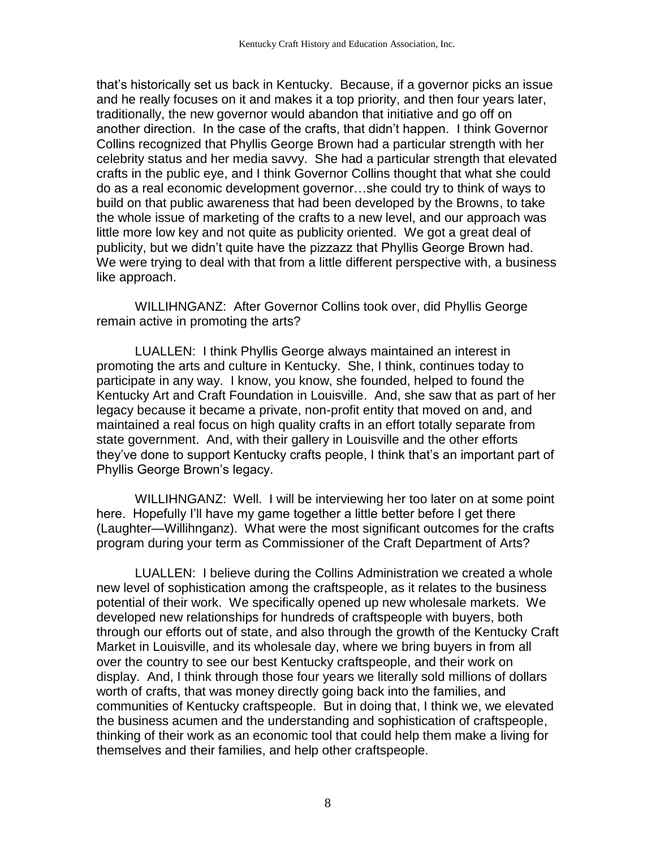that's historically set us back in Kentucky. Because, if a governor picks an issue and he really focuses on it and makes it a top priority, and then four years later, traditionally, the new governor would abandon that initiative and go off on another direction. In the case of the crafts, that didn't happen. I think Governor Collins recognized that Phyllis George Brown had a particular strength with her celebrity status and her media savvy. She had a particular strength that elevated crafts in the public eye, and I think Governor Collins thought that what she could do as a real economic development governor…she could try to think of ways to build on that public awareness that had been developed by the Browns, to take the whole issue of marketing of the crafts to a new level, and our approach was little more low key and not quite as publicity oriented. We got a great deal of publicity, but we didn't quite have the pizzazz that Phyllis George Brown had. We were trying to deal with that from a little different perspective with, a business like approach.

WILLIHNGANZ: After Governor Collins took over, did Phyllis George remain active in promoting the arts?

LUALLEN: I think Phyllis George always maintained an interest in promoting the arts and culture in Kentucky. She, I think, continues today to participate in any way. I know, you know, she founded, helped to found the Kentucky Art and Craft Foundation in Louisville. And, she saw that as part of her legacy because it became a private, non-profit entity that moved on and, and maintained a real focus on high quality crafts in an effort totally separate from state government. And, with their gallery in Louisville and the other efforts they've done to support Kentucky crafts people, I think that's an important part of Phyllis George Brown's legacy.

WILLIHNGANZ: Well. I will be interviewing her too later on at some point here. Hopefully I'll have my game together a little better before I get there (Laughter—Willihnganz). What were the most significant outcomes for the crafts program during your term as Commissioner of the Craft Department of Arts?

LUALLEN: I believe during the Collins Administration we created a whole new level of sophistication among the craftspeople, as it relates to the business potential of their work. We specifically opened up new wholesale markets. We developed new relationships for hundreds of craftspeople with buyers, both through our efforts out of state, and also through the growth of the Kentucky Craft Market in Louisville, and its wholesale day, where we bring buyers in from all over the country to see our best Kentucky craftspeople, and their work on display. And, I think through those four years we literally sold millions of dollars worth of crafts, that was money directly going back into the families, and communities of Kentucky craftspeople. But in doing that, I think we, we elevated the business acumen and the understanding and sophistication of craftspeople, thinking of their work as an economic tool that could help them make a living for themselves and their families, and help other craftspeople.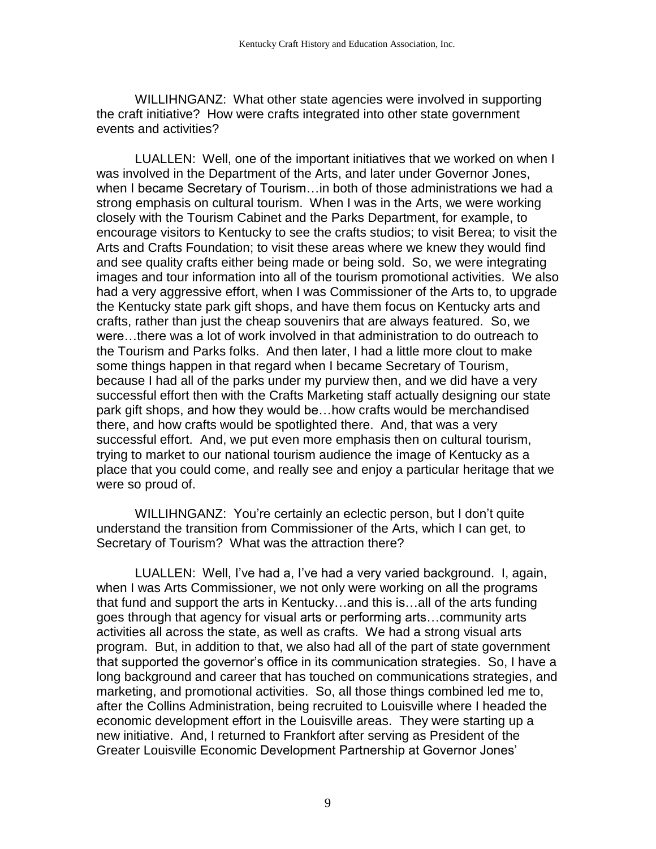WILLIHNGANZ: What other state agencies were involved in supporting the craft initiative? How were crafts integrated into other state government events and activities?

LUALLEN: Well, one of the important initiatives that we worked on when I was involved in the Department of the Arts, and later under Governor Jones, when I became Secretary of Tourism…in both of those administrations we had a strong emphasis on cultural tourism. When I was in the Arts, we were working closely with the Tourism Cabinet and the Parks Department, for example, to encourage visitors to Kentucky to see the crafts studios; to visit Berea; to visit the Arts and Crafts Foundation; to visit these areas where we knew they would find and see quality crafts either being made or being sold. So, we were integrating images and tour information into all of the tourism promotional activities. We also had a very aggressive effort, when I was Commissioner of the Arts to, to upgrade the Kentucky state park gift shops, and have them focus on Kentucky arts and crafts, rather than just the cheap souvenirs that are always featured. So, we were…there was a lot of work involved in that administration to do outreach to the Tourism and Parks folks. And then later, I had a little more clout to make some things happen in that regard when I became Secretary of Tourism, because I had all of the parks under my purview then, and we did have a very successful effort then with the Crafts Marketing staff actually designing our state park gift shops, and how they would be…how crafts would be merchandised there, and how crafts would be spotlighted there. And, that was a very successful effort. And, we put even more emphasis then on cultural tourism, trying to market to our national tourism audience the image of Kentucky as a place that you could come, and really see and enjoy a particular heritage that we were so proud of.

WILLIHNGANZ: You're certainly an eclectic person, but I don't quite understand the transition from Commissioner of the Arts, which I can get, to Secretary of Tourism? What was the attraction there?

LUALLEN: Well, I've had a, I've had a very varied background. I, again, when I was Arts Commissioner, we not only were working on all the programs that fund and support the arts in Kentucky…and this is…all of the arts funding goes through that agency for visual arts or performing arts…community arts activities all across the state, as well as crafts. We had a strong visual arts program. But, in addition to that, we also had all of the part of state government that supported the governor's office in its communication strategies. So, I have a long background and career that has touched on communications strategies, and marketing, and promotional activities. So, all those things combined led me to, after the Collins Administration, being recruited to Louisville where I headed the economic development effort in the Louisville areas. They were starting up a new initiative. And, I returned to Frankfort after serving as President of the Greater Louisville Economic Development Partnership at Governor Jones'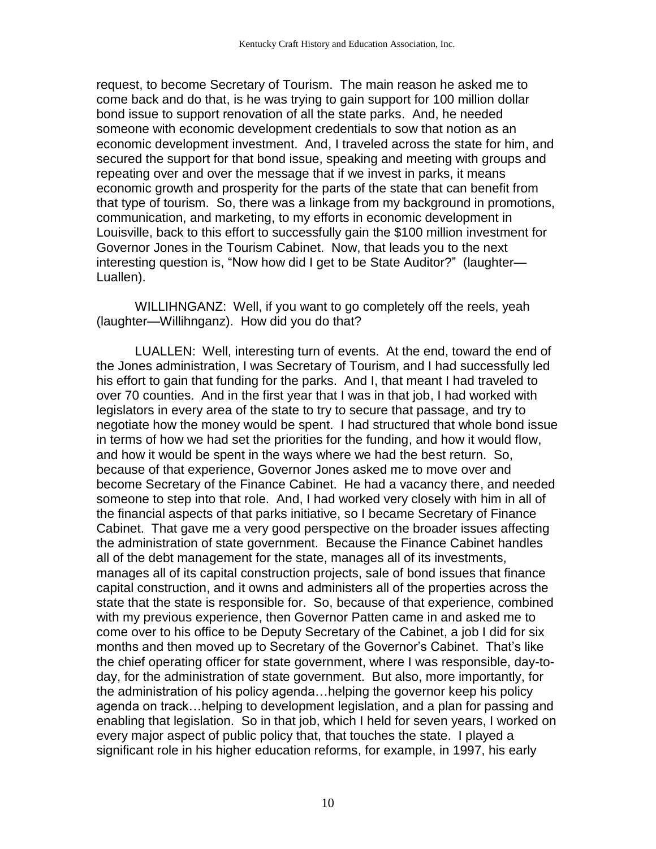request, to become Secretary of Tourism. The main reason he asked me to come back and do that, is he was trying to gain support for 100 million dollar bond issue to support renovation of all the state parks. And, he needed someone with economic development credentials to sow that notion as an economic development investment. And, I traveled across the state for him, and secured the support for that bond issue, speaking and meeting with groups and repeating over and over the message that if we invest in parks, it means economic growth and prosperity for the parts of the state that can benefit from that type of tourism. So, there was a linkage from my background in promotions, communication, and marketing, to my efforts in economic development in Louisville, back to this effort to successfully gain the \$100 million investment for Governor Jones in the Tourism Cabinet. Now, that leads you to the next interesting question is, "Now how did I get to be State Auditor?" (laughter— Luallen).

WILLIHNGANZ: Well, if you want to go completely off the reels, yeah (laughter—Willihnganz). How did you do that?

LUALLEN: Well, interesting turn of events. At the end, toward the end of the Jones administration, I was Secretary of Tourism, and I had successfully led his effort to gain that funding for the parks. And I, that meant I had traveled to over 70 counties. And in the first year that I was in that job, I had worked with legislators in every area of the state to try to secure that passage, and try to negotiate how the money would be spent. I had structured that whole bond issue in terms of how we had set the priorities for the funding, and how it would flow, and how it would be spent in the ways where we had the best return. So, because of that experience, Governor Jones asked me to move over and become Secretary of the Finance Cabinet. He had a vacancy there, and needed someone to step into that role. And, I had worked very closely with him in all of the financial aspects of that parks initiative, so I became Secretary of Finance Cabinet. That gave me a very good perspective on the broader issues affecting the administration of state government. Because the Finance Cabinet handles all of the debt management for the state, manages all of its investments, manages all of its capital construction projects, sale of bond issues that finance capital construction, and it owns and administers all of the properties across the state that the state is responsible for. So, because of that experience, combined with my previous experience, then Governor Patten came in and asked me to come over to his office to be Deputy Secretary of the Cabinet, a job I did for six months and then moved up to Secretary of the Governor's Cabinet. That's like the chief operating officer for state government, where I was responsible, day-today, for the administration of state government. But also, more importantly, for the administration of his policy agenda…helping the governor keep his policy agenda on track…helping to development legislation, and a plan for passing and enabling that legislation. So in that job, which I held for seven years, I worked on every major aspect of public policy that, that touches the state. I played a significant role in his higher education reforms, for example, in 1997, his early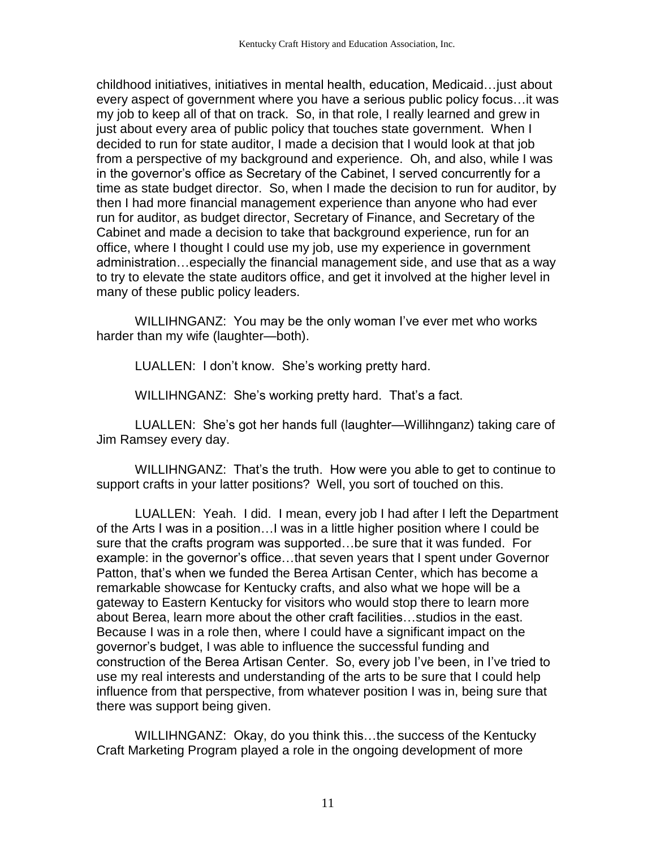childhood initiatives, initiatives in mental health, education, Medicaid…just about every aspect of government where you have a serious public policy focus…it was my job to keep all of that on track. So, in that role, I really learned and grew in just about every area of public policy that touches state government. When I decided to run for state auditor, I made a decision that I would look at that job from a perspective of my background and experience. Oh, and also, while I was in the governor's office as Secretary of the Cabinet, I served concurrently for a time as state budget director. So, when I made the decision to run for auditor, by then I had more financial management experience than anyone who had ever run for auditor, as budget director, Secretary of Finance, and Secretary of the Cabinet and made a decision to take that background experience, run for an office, where I thought I could use my job, use my experience in government administration…especially the financial management side, and use that as a way to try to elevate the state auditors office, and get it involved at the higher level in many of these public policy leaders.

WILLIHNGANZ: You may be the only woman I've ever met who works harder than my wife (laughter—both).

LUALLEN: I don't know. She's working pretty hard.

WILLIHNGANZ: She's working pretty hard. That's a fact.

LUALLEN: She's got her hands full (laughter—Willihnganz) taking care of Jim Ramsey every day.

WILLIHNGANZ: That's the truth. How were you able to get to continue to support crafts in your latter positions? Well, you sort of touched on this.

LUALLEN: Yeah. I did. I mean, every job I had after I left the Department of the Arts I was in a position…I was in a little higher position where I could be sure that the crafts program was supported…be sure that it was funded. For example: in the governor's office…that seven years that I spent under Governor Patton, that's when we funded the Berea Artisan Center, which has become a remarkable showcase for Kentucky crafts, and also what we hope will be a gateway to Eastern Kentucky for visitors who would stop there to learn more about Berea, learn more about the other craft facilities…studios in the east. Because I was in a role then, where I could have a significant impact on the governor's budget, I was able to influence the successful funding and construction of the Berea Artisan Center. So, every job I've been, in I've tried to use my real interests and understanding of the arts to be sure that I could help influence from that perspective, from whatever position I was in, being sure that there was support being given.

WILLIHNGANZ: Okay, do you think this…the success of the Kentucky Craft Marketing Program played a role in the ongoing development of more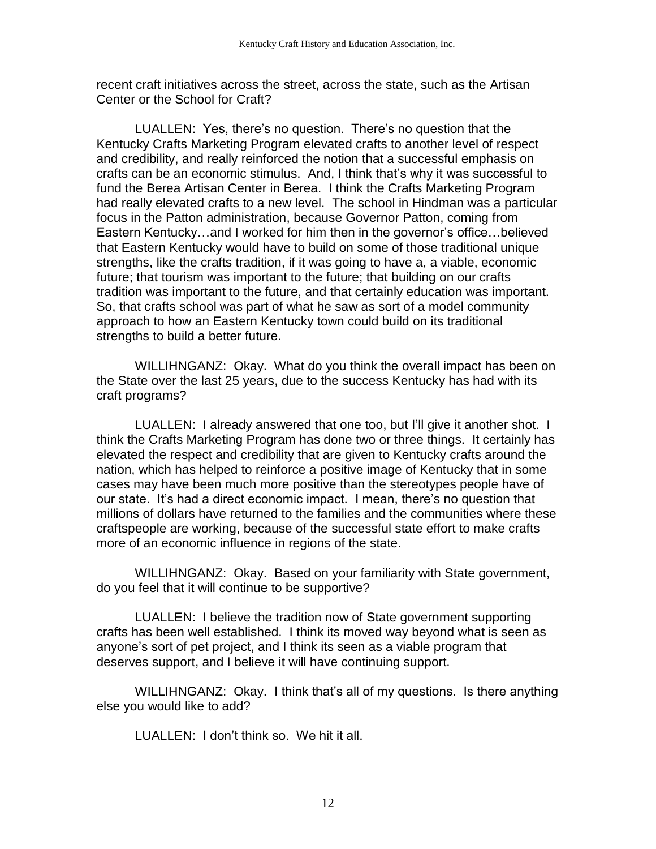recent craft initiatives across the street, across the state, such as the Artisan Center or the School for Craft?

LUALLEN: Yes, there's no question. There's no question that the Kentucky Crafts Marketing Program elevated crafts to another level of respect and credibility, and really reinforced the notion that a successful emphasis on crafts can be an economic stimulus. And, I think that's why it was successful to fund the Berea Artisan Center in Berea. I think the Crafts Marketing Program had really elevated crafts to a new level. The school in Hindman was a particular focus in the Patton administration, because Governor Patton, coming from Eastern Kentucky...and I worked for him then in the governor's office...believed that Eastern Kentucky would have to build on some of those traditional unique strengths, like the crafts tradition, if it was going to have a, a viable, economic future; that tourism was important to the future; that building on our crafts tradition was important to the future, and that certainly education was important. So, that crafts school was part of what he saw as sort of a model community approach to how an Eastern Kentucky town could build on its traditional strengths to build a better future.

WILLIHNGANZ: Okay. What do you think the overall impact has been on the State over the last 25 years, due to the success Kentucky has had with its craft programs?

LUALLEN: I already answered that one too, but I'll give it another shot. I think the Crafts Marketing Program has done two or three things. It certainly has elevated the respect and credibility that are given to Kentucky crafts around the nation, which has helped to reinforce a positive image of Kentucky that in some cases may have been much more positive than the stereotypes people have of our state. It's had a direct economic impact. I mean, there's no question that millions of dollars have returned to the families and the communities where these craftspeople are working, because of the successful state effort to make crafts more of an economic influence in regions of the state.

WILLIHNGANZ: Okay. Based on your familiarity with State government, do you feel that it will continue to be supportive?

LUALLEN: I believe the tradition now of State government supporting crafts has been well established. I think its moved way beyond what is seen as anyone's sort of pet project, and I think its seen as a viable program that deserves support, and I believe it will have continuing support.

WILLIHNGANZ: Okay. I think that's all of my questions. Is there anything else you would like to add?

LUALLEN: I don't think so. We hit it all.